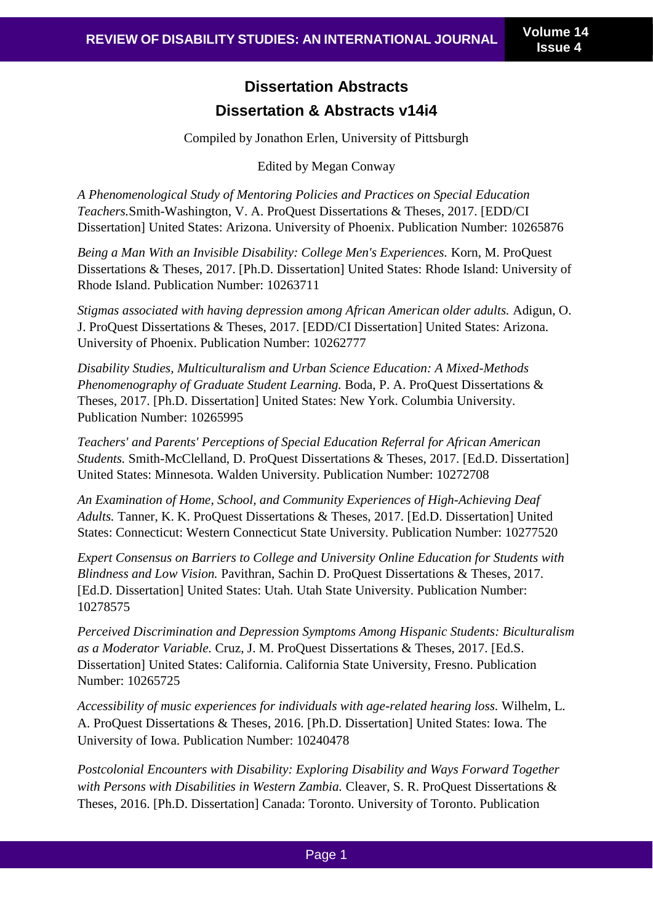## **Dissertation Abstracts Dissertation & Abstracts v14i4**

Compiled by Jonathon Erlen, University of Pittsburgh

Edited by Megan Conway

*A Phenomenological Study of Mentoring Policies and Practices on Special Education Teachers.*Smith-Washington, V. A. ProQuest Dissertations & Theses, 2017. [EDD/CI Dissertation] United States: Arizona. University of Phoenix. Publication Number: 10265876

*Being a Man With an Invisible Disability: College Men's Experiences.* Korn, M. ProQuest Dissertations & Theses, 2017. [Ph.D. Dissertation] United States: Rhode Island: University of Rhode Island. Publication Number: 10263711

*Stigmas associated with having depression among African American older adults.* Adigun, O. J. ProQuest Dissertations & Theses, 2017. [EDD/CI Dissertation] United States: Arizona. University of Phoenix. Publication Number: 10262777

*Disability Studies, Multiculturalism and Urban Science Education: A Mixed-Methods Phenomenography of Graduate Student Learning.* Boda, P. A. ProQuest Dissertations & Theses, 2017. [Ph.D. Dissertation] United States: New York. Columbia University. Publication Number: 10265995

*Teachers' and Parents' Perceptions of Special Education Referral for African American Students.* Smith-McClelland, D. ProQuest Dissertations & Theses, 2017. [Ed.D. Dissertation] United States: Minnesota. Walden University. Publication Number: 10272708

*An Examination of Home, School, and Community Experiences of High-Achieving Deaf Adults.* Tanner, K. K. ProQuest Dissertations & Theses, 2017. [Ed.D. Dissertation] United States: Connecticut: Western Connecticut State University. Publication Number: 10277520

*Expert Consensus on Barriers to College and University Online Education for Students with Blindness and Low Vision.* Pavithran, Sachin D. ProQuest Dissertations & Theses, 2017. [Ed.D. Dissertation] United States: Utah. Utah State University. Publication Number: 10278575

*Perceived Discrimination and Depression Symptoms Among Hispanic Students: Biculturalism as a Moderator Variable.* Cruz, J. M. ProQuest Dissertations & Theses, 2017. [Ed.S. Dissertation] United States: California. California State University, Fresno. Publication Number: 10265725

*Accessibility of music experiences for individuals with age-related hearing loss.* Wilhelm, L. A. ProQuest Dissertations & Theses, 2016. [Ph.D. Dissertation] United States: Iowa. The University of Iowa. Publication Number: 10240478

*Postcolonial Encounters with Disability: Exploring Disability and Ways Forward Together with Persons with Disabilities in Western Zambia.* Cleaver, S. R. ProQuest Dissertations & Theses, 2016. [Ph.D. Dissertation] Canada: Toronto. University of Toronto. Publication